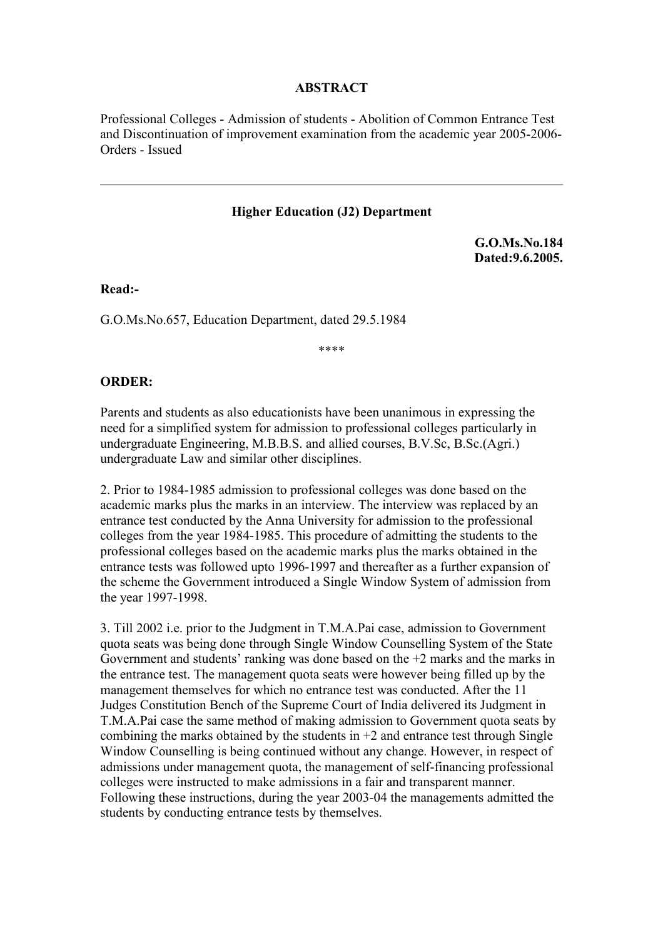#### **ABSTRACT**

Professional Colleges - Admission of students - Abolition of Common Entrance Test and Discontinuation of improvement examination from the academic year 2005-2006- Orders - Issued

#### **Higher Education (J2) Department**

**G.O.Ms.No.184 Dated:9.6.2005.**

**Read:-**

G.O.Ms.No.657, Education Department, dated 29.5.1984

\*\*\*\*

#### **ORDER:**

Parents and students as also educationists have been unanimous in expressing the need for a simplified system for admission to professional colleges particularly in undergraduate Engineering, M.B.B.S. and allied courses, B.V.Sc, B.Sc.(Agri.) undergraduate Law and similar other disciplines.

2. Prior to 1984-1985 admission to professional colleges was done based on the academic marks plus the marks in an interview. The interview was replaced by an entrance test conducted by the Anna University for admission to the professional colleges from the year 1984-1985. This procedure of admitting the students to the professional colleges based on the academic marks plus the marks obtained in the entrance tests was followed upto 1996-1997 and thereafter as a further expansion of the scheme the Government introduced a Single Window System of admission from the year 1997-1998.

3. Till 2002 i.e. prior to the Judgment in T.M.A.Pai case, admission to Government quota seats was being done through Single Window Counselling System of the State Government and students' ranking was done based on the +2 marks and the marks in the entrance test. The management quota seats were however being filled up by the management themselves for which no entrance test was conducted. After the 11 Judges Constitution Bench of the Supreme Court of India delivered its Judgment in T.M.A.Pai case the same method of making admission to Government quota seats by combining the marks obtained by the students in  $+2$  and entrance test through Single Window Counselling is being continued without any change. However, in respect of admissions under management quota, the management of self-financing professional colleges were instructed to make admissions in a fair and transparent manner. Following these instructions, during the year 2003-04 the managements admitted the students by conducting entrance tests by themselves.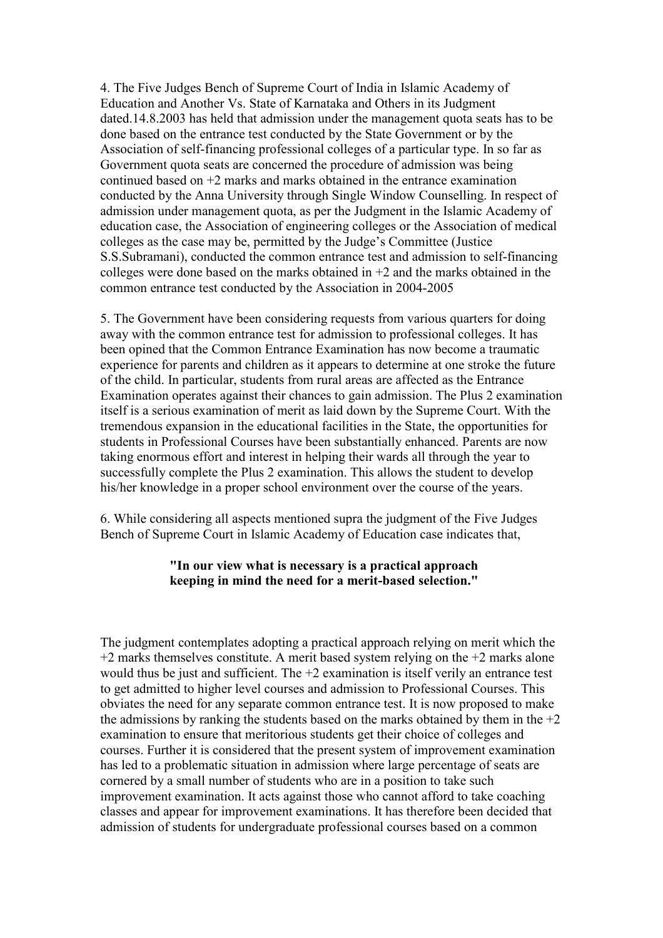4. The Five Judges Bench of Supreme Court of India in Islamic Academy of Education and Another Vs. State of Karnataka and Others in its Judgment dated.14.8.2003 has held that admission under the management quota seats has to be done based on the entrance test conducted by the State Government or by the Association of self-financing professional colleges of a particular type. In so far as Government quota seats are concerned the procedure of admission was being continued based on +2 marks and marks obtained in the entrance examination conducted by the Anna University through Single Window Counselling. In respect of admission under management quota, as per the Judgment in the Islamic Academy of education case, the Association of engineering colleges or the Association of medical colleges as the case may be, permitted by the Judge's Committee (Justice S.S.Subramani), conducted the common entrance test and admission to self-financing colleges were done based on the marks obtained in  $+2$  and the marks obtained in the common entrance test conducted by the Association in 2004-2005

5. The Government have been considering requests from various quarters for doing away with the common entrance test for admission to professional colleges. It has been opined that the Common Entrance Examination has now become a traumatic experience for parents and children as it appears to determine at one stroke the future of the child. In particular, students from rural areas are affected as the Entrance Examination operates against their chances to gain admission. The Plus 2 examination itself is a serious examination of merit as laid down by the Supreme Court. With the tremendous expansion in the educational facilities in the State, the opportunities for students in Professional Courses have been substantially enhanced. Parents are now taking enormous effort and interest in helping their wards all through the year to successfully complete the Plus 2 examination. This allows the student to develop his/her knowledge in a proper school environment over the course of the years.

6. While considering all aspects mentioned supra the judgment of the Five Judges Bench of Supreme Court in Islamic Academy of Education case indicates that,

### **"In our view what is necessary is a practical approach keeping in mind the need for a merit-based selection."**

The judgment contemplates adopting a practical approach relying on merit which the  $+2$  marks themselves constitute. A merit based system relying on the  $+2$  marks alone would thus be just and sufficient. The  $+2$  examination is itself verily an entrance test to get admitted to higher level courses and admission to Professional Courses. This obviates the need for any separate common entrance test. It is now proposed to make the admissions by ranking the students based on the marks obtained by them in the  $+2$ examination to ensure that meritorious students get their choice of colleges and courses. Further it is considered that the present system of improvement examination has led to a problematic situation in admission where large percentage of seats are cornered by a small number of students who are in a position to take such improvement examination. It acts against those who cannot afford to take coaching classes and appear for improvement examinations. It has therefore been decided that admission of students for undergraduate professional courses based on a common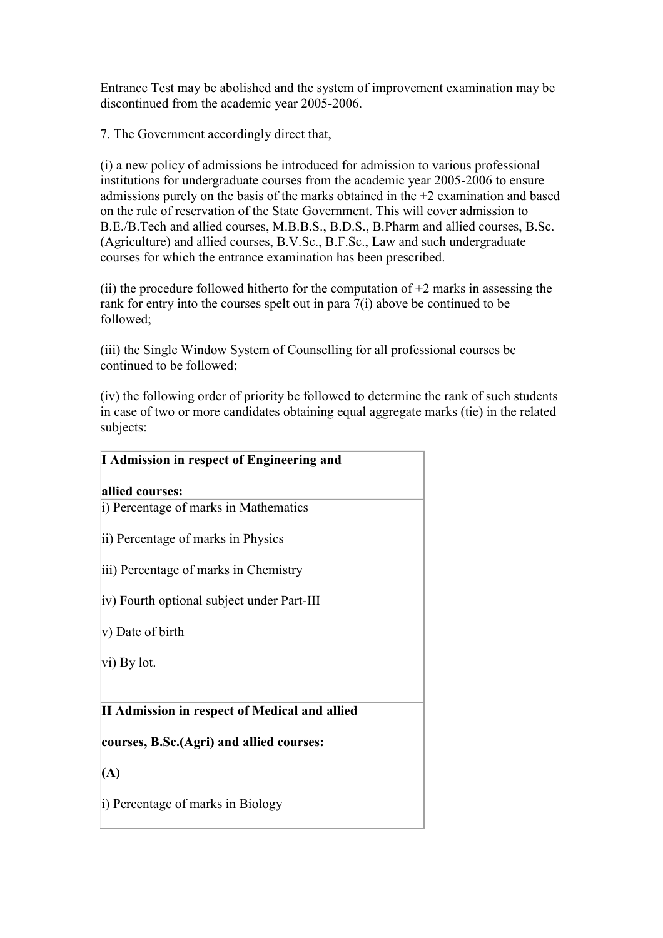Entrance Test may be abolished and the system of improvement examination may be discontinued from the academic year 2005-2006.

7. The Government accordingly direct that,

(i) a new policy of admissions be introduced for admission to various professional institutions for undergraduate courses from the academic year 2005-2006 to ensure admissions purely on the basis of the marks obtained in the +2 examination and based on the rule of reservation of the State Government. This will cover admission to B.E./B.Tech and allied courses, M.B.B.S., B.D.S., B.Pharm and allied courses, B.Sc. (Agriculture) and allied courses, B.V.Sc., B.F.Sc., Law and such undergraduate courses for which the entrance examination has been prescribed.

(ii) the procedure followed hitherto for the computation of  $+2$  marks in assessing the rank for entry into the courses spelt out in para 7(i) above be continued to be followed;

(iii) the Single Window System of Counselling for all professional courses be continued to be followed;

(iv) the following order of priority be followed to determine the rank of such students in case of two or more candidates obtaining equal aggregate marks (tie) in the related subjects:

| I Admission in respect of Engineering and     |
|-----------------------------------------------|
| allied courses:                               |
| i) Percentage of marks in Mathematics         |
| ii) Percentage of marks in Physics            |
| iii) Percentage of marks in Chemistry         |
| iv) Fourth optional subject under Part-III    |
| v) Date of birth                              |
| vi) By lot.                                   |
|                                               |
| II Admission in respect of Medical and allied |
| courses, B.Sc.(Agri) and allied courses:      |
| (A)                                           |
| i) Percentage of marks in Biology             |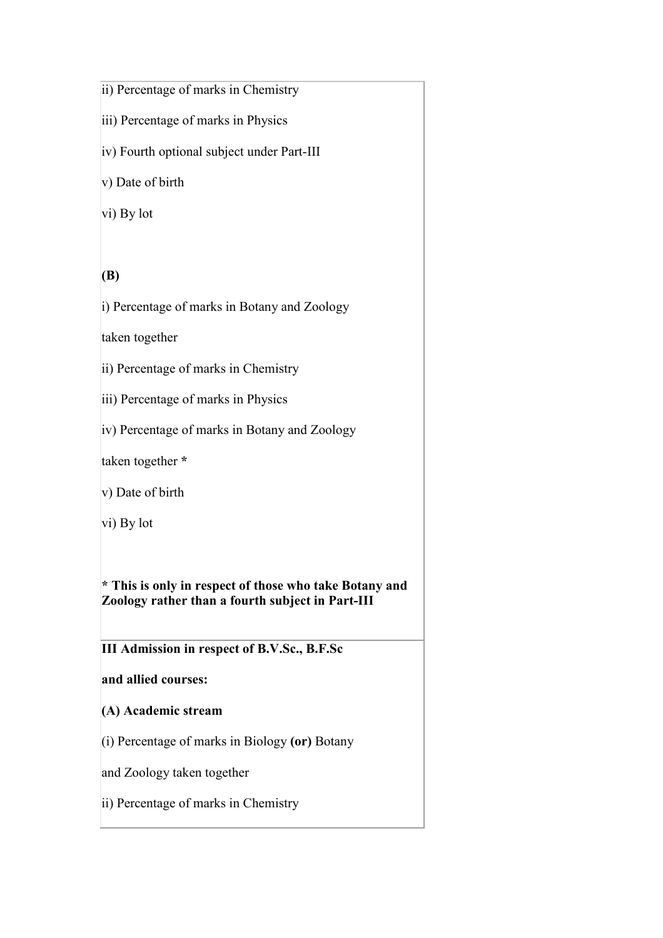# ii) Percentage of marks in Chemistry

- iii) Percentage of marks in Physics
- iv) Fourth optional subject under Part-III

v) Date of birth

vi) By lot

# **(B)**

i) Percentage of marks in Botany and Zoology

taken together

- ii) Percentage of marks in Chemistry
- iii) Percentage of marks in Physics
- iv) Percentage of marks in Botany and Zoology

taken together **\***

v) Date of birth

vi) By lot

**\* This is only in respect of those who take Botany and Zoology rather than a fourth subject in Part-III**

**III Admission in respect of B.V.Sc., B.F.Sc**

## **and allied courses:**

- **(A) Academic stream**
- (i) Percentage of marks in Biology **(or)** Botany
- and Zoology taken together
- ii) Percentage of marks in Chemistry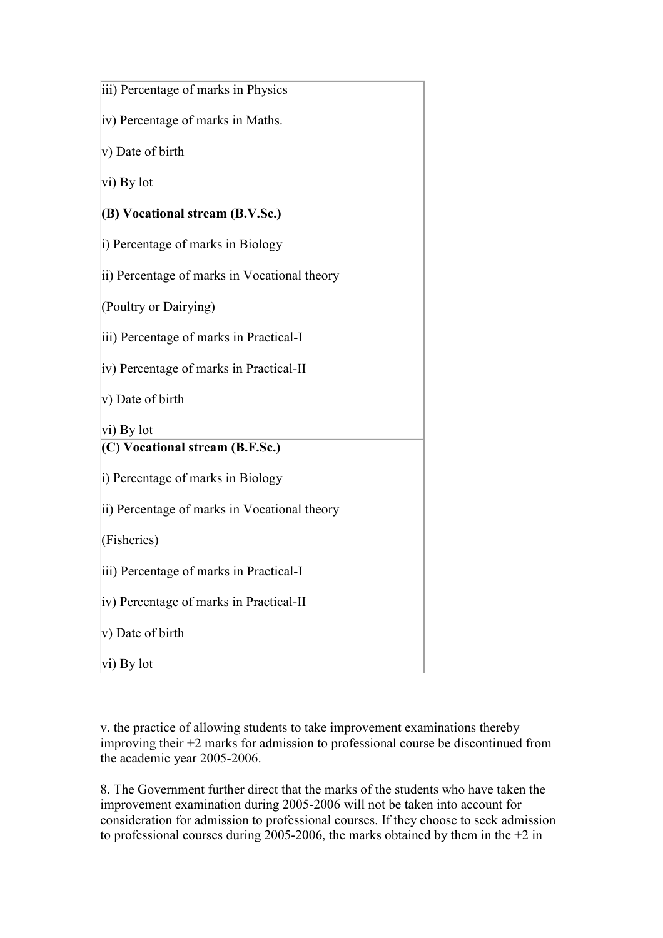| iii) Percentage of marks in Physics          |
|----------------------------------------------|
| iv) Percentage of marks in Maths.            |
| v) Date of birth                             |
| vi) By lot                                   |
| (B) Vocational stream (B.V.Sc.)              |
| i) Percentage of marks in Biology            |
| ii) Percentage of marks in Vocational theory |
| (Poultry or Dairying)                        |
| iii) Percentage of marks in Practical-I      |
| iv) Percentage of marks in Practical-II      |
| v) Date of birth                             |
| vi) By lot                                   |
| (C) Vocational stream (B.F.Sc.)              |
| i) Percentage of marks in Biology            |
| ii) Percentage of marks in Vocational theory |
| (Fisheries)                                  |
| iii) Percentage of marks in Practical-I      |
| iv) Percentage of marks in Practical-II      |
| $ v\rangle$ Date of birth                    |
| $ vi)$ By lot                                |

v. the practice of allowing students to take improvement examinations thereby improving their +2 marks for admission to professional course be discontinued from the academic year 2005-2006.

8. The Government further direct that the marks of the students who have taken the improvement examination during 2005-2006 will not be taken into account for consideration for admission to professional courses. If they choose to seek admission to professional courses during 2005-2006, the marks obtained by them in the  $+2$  in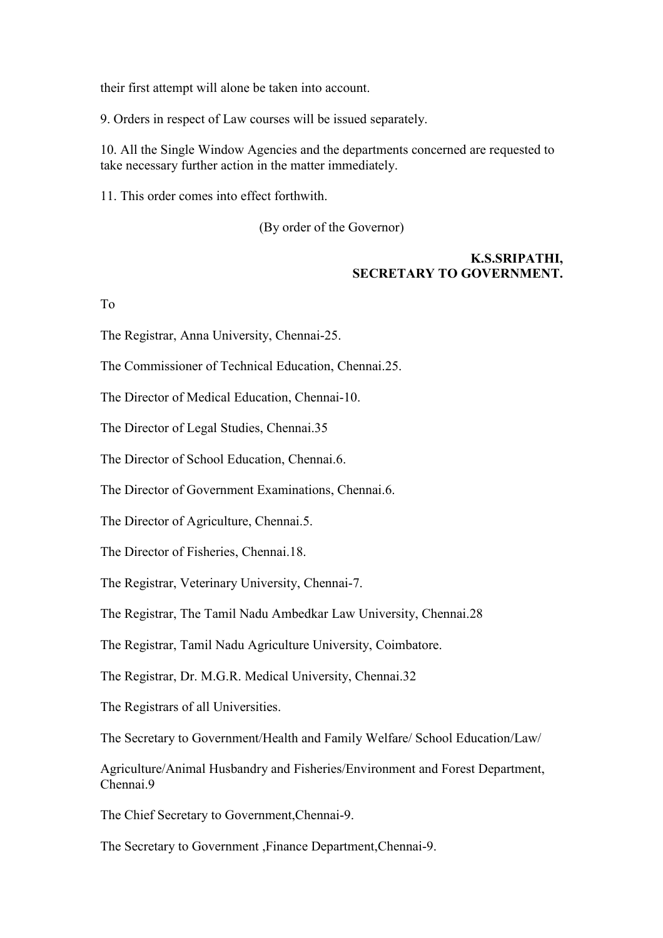their first attempt will alone be taken into account.

9. Orders in respect of Law courses will be issued separately.

10. All the Single Window Agencies and the departments concerned are requested to take necessary further action in the matter immediately.

11. This order comes into effect forthwith.

(By order of the Governor)

### **K.S.SRIPATHI, SECRETARY TO GOVERNMENT.**

To

The Registrar, Anna University, Chennai-25.

The Commissioner of Technical Education, Chennai.25.

The Director of Medical Education, Chennai-10.

The Director of Legal Studies, Chennai.35

The Director of School Education, Chennai.6.

The Director of Government Examinations, Chennai.6.

The Director of Agriculture, Chennai.5.

The Director of Fisheries, Chennai.18.

The Registrar, Veterinary University, Chennai-7.

The Registrar, The Tamil Nadu Ambedkar Law University, Chennai.28

The Registrar, Tamil Nadu Agriculture University, Coimbatore.

The Registrar, Dr. M.G.R. Medical University, Chennai.32

The Registrars of all Universities.

The Secretary to Government/Health and Family Welfare/ School Education/Law/

Agriculture/Animal Husbandry and Fisheries/Environment and Forest Department, Chennai 9

The Chief Secretary to Government,Chennai-9.

The Secretary to Government ,Finance Department,Chennai-9.